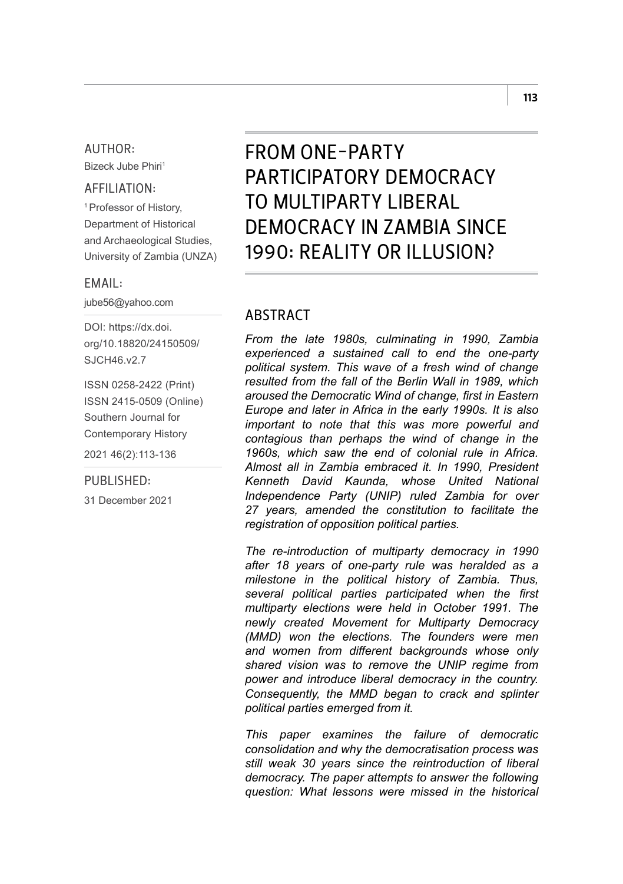#### AUTHOR:

Bizeck Jube Phiri1

#### AFFILIATION:

<sup>1</sup> Professor of History, Department of Historical and Archaeological Studies, University of Zambia (UNZA)

EMAIL:

iube56@yahoo.com

DOI: [https://dx.doi.](https://dx.doi.org/10.18820/24150509/SJCH46.v2.7) [org/10.18820/24150509/](https://dx.doi.org/10.18820/24150509/SJCH46.v2.7) [SJCH46.v2.7](https://dx.doi.org/10.18820/24150509/SJCH46.v2.7)

ISSN 0258-2422 (Print) ISSN 2415-0509 (Online) Southern Journal for Contemporary History 2021 46(2):113-136

#### PUBLISHED:

31 December 2021

# FROM ONE-PARTY PARTICIPATORY DEMOCRACY TO MULTIPARTY LIBERAL DEMOCRACY IN ZAMBIA SINCE 1990: REALITY OR ILLUSION?

#### ABSTRACT

*From the late 1980s, culminating in 1990, Zambia experienced a sustained call to end the one-party political system. This wave of a fresh wind of change resulted from the fall of the Berlin Wall in 1989, which aroused the Democratic Wind of change, first in Eastern Europe and later in Africa in the early 1990s. It is also important to note that this was more powerful and contagious than perhaps the wind of change in the 1960s, which saw the end of colonial rule in Africa. Almost all in Zambia embraced it. In 1990, President Kenneth David Kaunda, whose United National Independence Party (UNIP) ruled Zambia for over 27 years, amended the constitution to facilitate the registration of opposition political parties.* 

*The re-introduction of multiparty democracy in 1990 after 18 years of one-party rule was heralded as a milestone in the political history of Zambia. Thus, several political parties participated when the first multiparty elections were held in October 1991. The newly created Movement for Multiparty Democracy (MMD) won the elections. The founders were men and women from different backgrounds whose only shared vision was to remove the UNIP regime from power and introduce liberal democracy in the country. Consequently, the MMD began to crack and splinter political parties emerged from it.*

*This paper examines the failure of democratic consolidation and why the democratisation process was still weak 30 years since the reintroduction of liberal democracy. The paper attempts to answer the following question: What lessons were missed in the historical*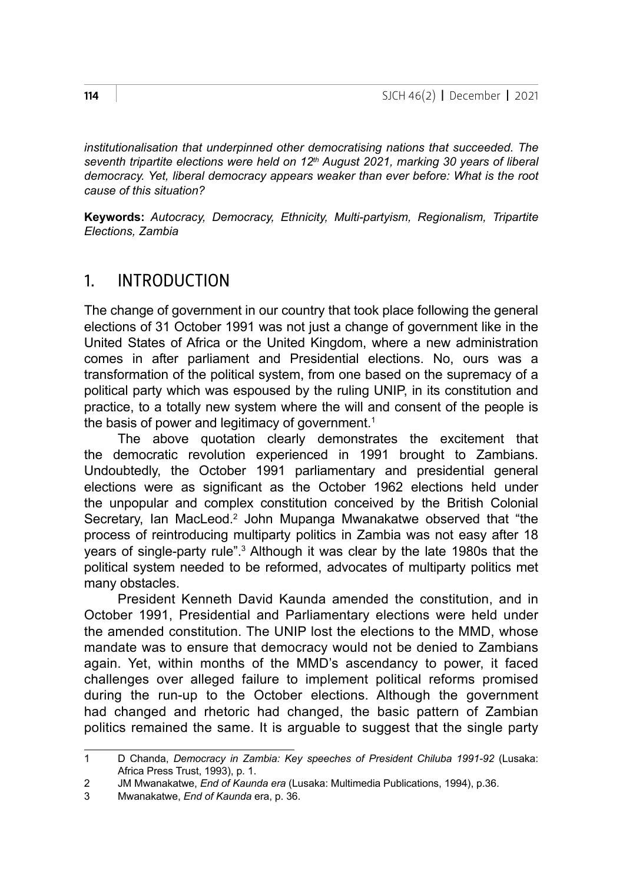*institutionalisation that underpinned other democratising nations that succeeded. The seventh tripartite elections were held on 12th August 2021, marking 30 years of liberal democracy. Yet, liberal democracy appears weaker than ever before: What is the root cause of this situation?* 

**Keywords:** *Autocracy, Democracy, Ethnicity, Multi-partyism, Regionalism, Tripartite Elections, Zambia*

## 1. INTRODUCTION

The change of government in our country that took place following the general elections of 31 October 1991 was not just a change of government like in the United States of Africa or the United Kingdom, where a new administration comes in after parliament and Presidential elections. No, ours was a transformation of the political system, from one based on the supremacy of a political party which was espoused by the ruling UNIP, in its constitution and practice, to a totally new system where the will and consent of the people is the basis of power and legitimacy of government.<sup>1</sup>

The above quotation clearly demonstrates the excitement that the democratic revolution experienced in 1991 brought to Zambians. Undoubtedly, the October 1991 parliamentary and presidential general elections were as significant as the October 1962 elections held under the unpopular and complex constitution conceived by the British Colonial Secretary, lan MacLeod.<sup>2</sup> John Mupanga Mwanakatwe observed that "the process of reintroducing multiparty politics in Zambia was not easy after 18 years of single-party rule".<sup>3</sup> Although it was clear by the late 1980s that the political system needed to be reformed, advocates of multiparty politics met many obstacles.

President Kenneth David Kaunda amended the constitution, and in October 1991, Presidential and Parliamentary elections were held under the amended constitution. The UNIP lost the elections to the MMD, whose mandate was to ensure that democracy would not be denied to Zambians again. Yet, within months of the MMD's ascendancy to power, it faced challenges over alleged failure to implement political reforms promised during the run-up to the October elections. Although the government had changed and rhetoric had changed, the basic pattern of Zambian politics remained the same. It is arguable to suggest that the single party

<sup>1</sup> D Chanda, *Democracy in Zambia: Key speeches of President Chiluba 1991-92* (Lusaka: Africa Press Trust, 1993), p. 1.

<sup>2</sup> JM Mwanakatwe, *End of Kaunda era* (Lusaka: Multimedia Publications, 1994), p.36.

<sup>3</sup> Mwanakatwe, *End of Kaunda* era, p. 36.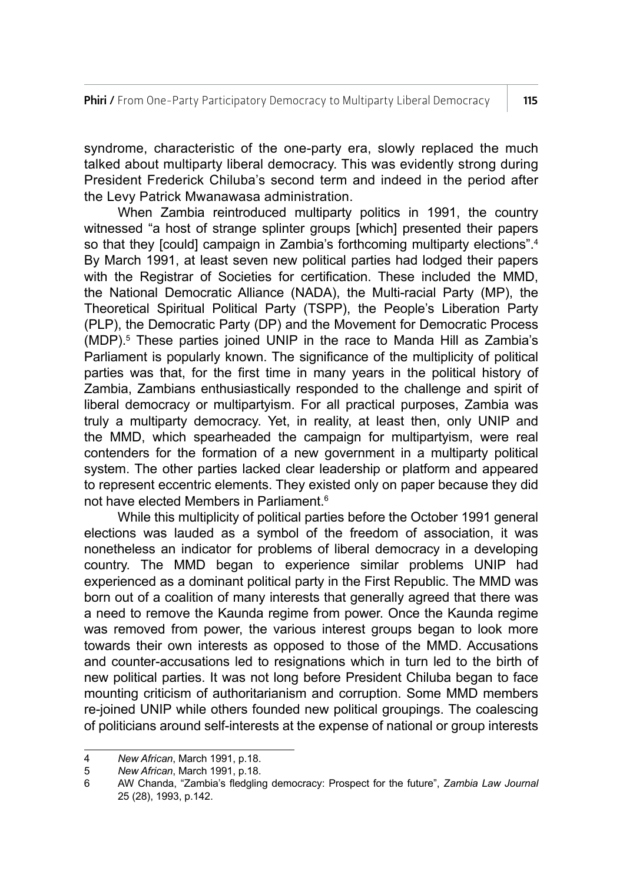syndrome, characteristic of the one-party era, slowly replaced the much talked about multiparty liberal democracy. This was evidently strong during President Frederick Chiluba's second term and indeed in the period after the Levy Patrick Mwanawasa administration.

When Zambia reintroduced multiparty politics in 1991, the country witnessed "a host of strange splinter groups [which] presented their papers so that they [could] campaign in Zambia's forthcoming multiparty elections".<sup>4</sup> By March 1991, at least seven new political parties had lodged their papers with the Registrar of Societies for certification. These included the MMD, the National Democratic Alliance (NADA), the Multi-racial Party (MP), the Theoretical Spiritual Political Party (TSPP), the People's Liberation Party (PLP), the Democratic Party (DP) and the Movement for Democratic Process (MDP).5 These parties joined UNIP in the race to Manda Hill as Zambia's Parliament is popularly known. The significance of the multiplicity of political parties was that, for the first time in many years in the political history of Zambia, Zambians enthusiastically responded to the challenge and spirit of liberal democracy or multipartyism. For all practical purposes, Zambia was truly a multiparty democracy. Yet, in reality, at least then, only UNIP and the MMD, which spearheaded the campaign for multipartyism, were real contenders for the formation of a new government in a multiparty political system. The other parties lacked clear leadership or platform and appeared to represent eccentric elements. They existed only on paper because they did not have elected Members in Parliament.<sup>6</sup>

While this multiplicity of political parties before the October 1991 general elections was lauded as a symbol of the freedom of association, it was nonetheless an indicator for problems of liberal democracy in a developing country. The MMD began to experience similar problems UNIP had experienced as a dominant political party in the First Republic. The MMD was born out of a coalition of many interests that generally agreed that there was a need to remove the Kaunda regime from power. Once the Kaunda regime was removed from power, the various interest groups began to look more towards their own interests as opposed to those of the MMD. Accusations and counter-accusations led to resignations which in turn led to the birth of new political parties. It was not long before President Chiluba began to face mounting criticism of authoritarianism and corruption. Some MMD members re-joined UNIP while others founded new political groupings. The coalescing of politicians around self-interests at the expense of national or group interests

<sup>4</sup> *New African*, March 1991, p.18.

<sup>5</sup> *New African*, March 1991, p.18.

<sup>6</sup> AW Chanda, "Zambia's fledgling democracy: Prospect for the future", *Zambia Law Journal* 25 (28), 1993, p.142.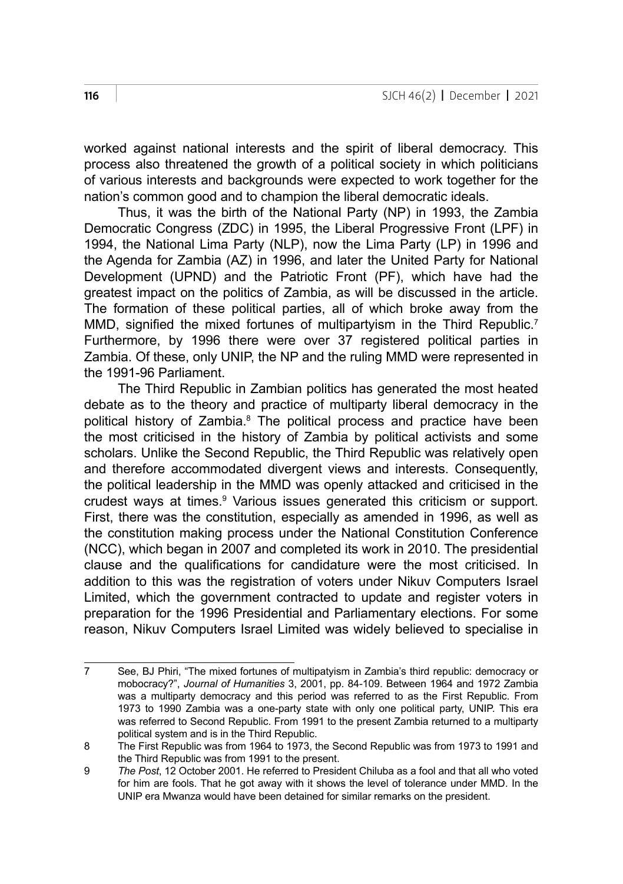worked against national interests and the spirit of liberal democracy. This process also threatened the growth of a political society in which politicians of various interests and backgrounds were expected to work together for the nation's common good and to champion the liberal democratic ideals.

Thus, it was the birth of the National Party (NP) in 1993, the Zambia Democratic Congress (ZDC) in 1995, the Liberal Progressive Front (LPF) in 1994, the National Lima Party (NLP), now the Lima Party (LP) in 1996 and the Agenda for Zambia (AZ) in 1996, and later the United Party for National Development (UPND) and the Patriotic Front (PF), which have had the greatest impact on the politics of Zambia, as will be discussed in the article. The formation of these political parties, all of which broke away from the MMD, signified the mixed fortunes of multipartyism in the Third Republic.<sup>7</sup> Furthermore, by 1996 there were over 37 registered political parties in Zambia. Of these, only UNIP, the NP and the ruling MMD were represented in the 1991-96 Parliament.

The Third Republic in Zambian politics has generated the most heated debate as to the theory and practice of multiparty liberal democracy in the political history of Zambia.<sup>8</sup> The political process and practice have been the most criticised in the history of Zambia by political activists and some scholars. Unlike the Second Republic, the Third Republic was relatively open and therefore accommodated divergent views and interests. Consequently, the political leadership in the MMD was openly attacked and criticised in the crudest ways at times.<sup>9</sup> Various issues generated this criticism or support. First, there was the constitution, especially as amended in 1996, as well as the constitution making process under the National Constitution Conference (NCC), which began in 2007 and completed its work in 2010. The presidential clause and the qualifications for candidature were the most criticised. In addition to this was the registration of voters under Nikuv Computers Israel Limited, which the government contracted to update and register voters in preparation for the 1996 Presidential and Parliamentary elections. For some reason, Nikuv Computers Israel Limited was widely believed to specialise in

<sup>7</sup> See, BJ Phiri, "The mixed fortunes of multipatyism in Zambia's third republic: democracy or mobocracy?", *Journal of Humanities* 3, 2001, pp. 84-109. Between 1964 and 1972 Zambia was a multiparty democracy and this period was referred to as the First Republic. From 1973 to 1990 Zambia was a one-party state with only one political party, UNIP. This era was referred to Second Republic. From 1991 to the present Zambia returned to a multiparty political system and is in the Third Republic.

<sup>8</sup> The First Republic was from 1964 to 1973, the Second Republic was from 1973 to 1991 and the Third Republic was from 1991 to the present.

<sup>9</sup> *The Post*, 12 October 2001. He referred to President Chiluba as a fool and that all who voted for him are fools. That he got away with it shows the level of tolerance under MMD. In the UNIP era Mwanza would have been detained for similar remarks on the president.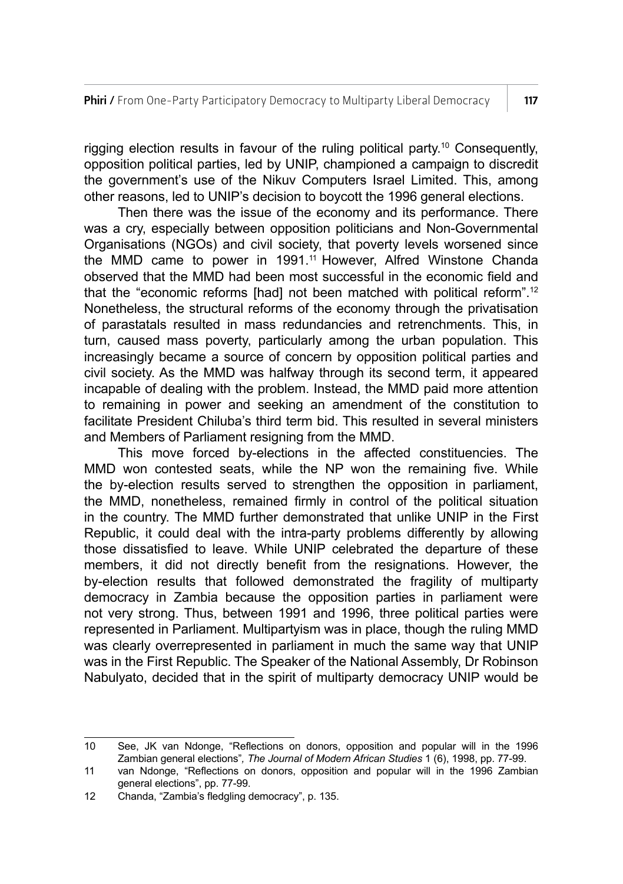rigging election results in favour of the ruling political party.<sup>10</sup> Consequently, opposition political parties, led by UNIP, championed a campaign to discredit the government's use of the Nikuv Computers Israel Limited. This, among other reasons, led to UNIP's decision to boycott the 1996 general elections.

Then there was the issue of the economy and its performance. There was a cry, especially between opposition politicians and Non-Governmental Organisations (NGOs) and civil society, that poverty levels worsened since the MMD came to power in 1991.<sup>11</sup> However, Alfred Winstone Chanda observed that the MMD had been most successful in the economic field and that the "economic reforms [had] not been matched with political reform".12 Nonetheless, the structural reforms of the economy through the privatisation of parastatals resulted in mass redundancies and retrenchments. This, in turn, caused mass poverty, particularly among the urban population. This increasingly became a source of concern by opposition political parties and civil society. As the MMD was halfway through its second term, it appeared incapable of dealing with the problem. Instead, the MMD paid more attention to remaining in power and seeking an amendment of the constitution to facilitate President Chiluba's third term bid. This resulted in several ministers and Members of Parliament resigning from the MMD.

This move forced by-elections in the affected constituencies. The MMD won contested seats, while the NP won the remaining five. While the by-election results served to strengthen the opposition in parliament, the MMD, nonetheless, remained firmly in control of the political situation in the country. The MMD further demonstrated that unlike UNIP in the First Republic, it could deal with the intra-party problems differently by allowing those dissatisfied to leave. While UNIP celebrated the departure of these members, it did not directly benefit from the resignations. However, the by-election results that followed demonstrated the fragility of multiparty democracy in Zambia because the opposition parties in parliament were not very strong. Thus, between 1991 and 1996, three political parties were represented in Parliament. Multipartyism was in place, though the ruling MMD was clearly overrepresented in parliament in much the same way that UNIP was in the First Republic. The Speaker of the National Assembly, Dr Robinson Nabulyato, decided that in the spirit of multiparty democracy UNIP would be

<sup>10</sup> See, JK van Ndonge, "Reflections on donors, opposition and popular will in the 1996 Zambian general elections"*, The Journal of Modern African Studies* 1 (6), 1998, pp. 77-99.

<sup>11</sup> van Ndonge, "Reflections on donors, opposition and popular will in the 1996 Zambian general elections", pp. 77-99.

<sup>12</sup> Chanda, "Zambia's fledgling democracy", p. 135.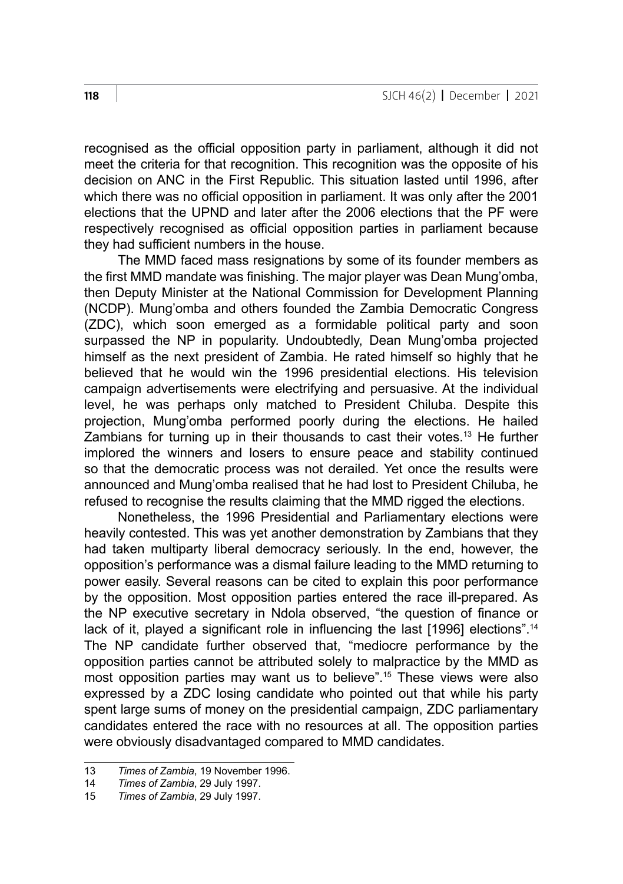recognised as the official opposition party in parliament, although it did not meet the criteria for that recognition. This recognition was the opposite of his decision on ANC in the First Republic. This situation lasted until 1996, after which there was no official opposition in parliament. It was only after the 2001 elections that the UPND and later after the 2006 elections that the PF were respectively recognised as official opposition parties in parliament because they had sufficient numbers in the house.

The MMD faced mass resignations by some of its founder members as the first MMD mandate was finishing. The major player was Dean Mung'omba, then Deputy Minister at the National Commission for Development Planning (NCDP). Mung'omba and others founded the Zambia Democratic Congress (ZDC), which soon emerged as a formidable political party and soon surpassed the NP in popularity. Undoubtedly, Dean Mung'omba projected himself as the next president of Zambia. He rated himself so highly that he believed that he would win the 1996 presidential elections. His television campaign advertisements were electrifying and persuasive. At the individual level, he was perhaps only matched to President Chiluba. Despite this projection, Mung'omba performed poorly during the elections. He hailed Zambians for turning up in their thousands to cast their votes.<sup>13</sup> He further implored the winners and losers to ensure peace and stability continued so that the democratic process was not derailed. Yet once the results were announced and Mung'omba realised that he had lost to President Chiluba, he refused to recognise the results claiming that the MMD rigged the elections.

Nonetheless, the 1996 Presidential and Parliamentary elections were heavily contested. This was yet another demonstration by Zambians that they had taken multiparty liberal democracy seriously. In the end, however, the opposition's performance was a dismal failure leading to the MMD returning to power easily. Several reasons can be cited to explain this poor performance by the opposition. Most opposition parties entered the race ill-prepared. As the NP executive secretary in Ndola observed, "the question of finance or lack of it, played a significant role in influencing the last [1996] elections".<sup>14</sup> The NP candidate further observed that, "mediocre performance by the opposition parties cannot be attributed solely to malpractice by the MMD as most opposition parties may want us to believe".15 These views were also expressed by a ZDC losing candidate who pointed out that while his party spent large sums of money on the presidential campaign, ZDC parliamentary candidates entered the race with no resources at all. The opposition parties were obviously disadvantaged compared to MMD candidates.

<sup>13</sup> *Times of Zambia*, 19 November 1996.

<sup>14</sup> *Times of Zambia*, 29 July 1997.

<sup>15</sup> *Times of Zambia*, 29 July 1997.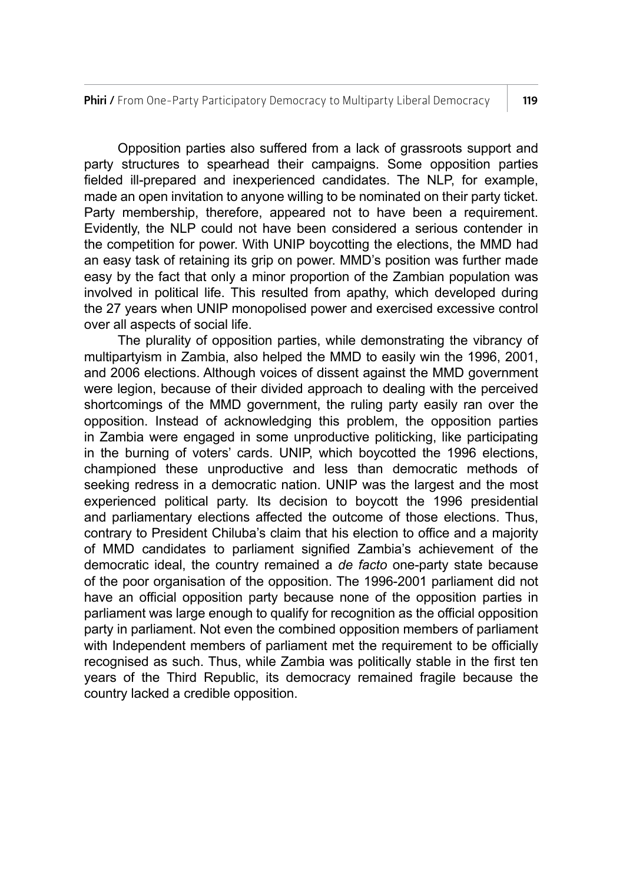Opposition parties also suffered from a lack of grassroots support and party structures to spearhead their campaigns. Some opposition parties fielded ill-prepared and inexperienced candidates. The NLP, for example, made an open invitation to anyone willing to be nominated on their party ticket. Party membership, therefore, appeared not to have been a requirement. Evidently, the NLP could not have been considered a serious contender in the competition for power. With UNIP boycotting the elections, the MMD had an easy task of retaining its grip on power. MMD's position was further made easy by the fact that only a minor proportion of the Zambian population was involved in political life. This resulted from apathy, which developed during the 27 years when UNIP monopolised power and exercised excessive control over all aspects of social life.

The plurality of opposition parties, while demonstrating the vibrancy of multipartyism in Zambia, also helped the MMD to easily win the 1996, 2001, and 2006 elections. Although voices of dissent against the MMD government were legion, because of their divided approach to dealing with the perceived shortcomings of the MMD government, the ruling party easily ran over the opposition. Instead of acknowledging this problem, the opposition parties in Zambia were engaged in some unproductive politicking, like participating in the burning of voters' cards. UNIP, which boycotted the 1996 elections, championed these unproductive and less than democratic methods of seeking redress in a democratic nation. UNIP was the largest and the most experienced political party. Its decision to boycott the 1996 presidential and parliamentary elections affected the outcome of those elections. Thus, contrary to President Chiluba's claim that his election to office and a majority of MMD candidates to parliament signified Zambia's achievement of the democratic ideal, the country remained a *de facto* one-party state because of the poor organisation of the opposition. The 1996-2001 parliament did not have an official opposition party because none of the opposition parties in parliament was large enough to qualify for recognition as the official opposition party in parliament. Not even the combined opposition members of parliament with Independent members of parliament met the requirement to be officially recognised as such. Thus, while Zambia was politically stable in the first ten years of the Third Republic, its democracy remained fragile because the country lacked a credible opposition.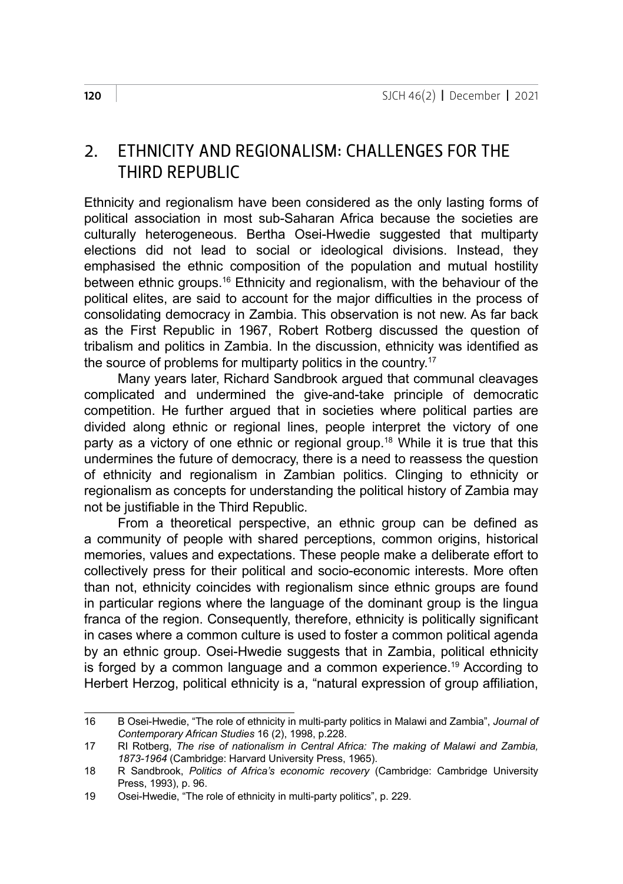### 2. FIHNICITY AND REGIONALISM: CHALLENGES FOR THE THIRD REPUBLIC

Ethnicity and regionalism have been considered as the only lasting forms of political association in most sub-Saharan Africa because the societies are culturally heterogeneous. Bertha Osei-Hwedie suggested that multiparty elections did not lead to social or ideological divisions. Instead, they emphasised the ethnic composition of the population and mutual hostility between ethnic groups.<sup>16</sup> Ethnicity and regionalism, with the behaviour of the political elites, are said to account for the major difficulties in the process of consolidating democracy in Zambia. This observation is not new. As far back as the First Republic in 1967, Robert Rotberg discussed the question of tribalism and politics in Zambia. In the discussion, ethnicity was identified as the source of problems for multiparty politics in the country.<sup>17</sup>

Many years later, Richard Sandbrook argued that communal cleavages complicated and undermined the give-and-take principle of democratic competition. He further argued that in societies where political parties are divided along ethnic or regional lines, people interpret the victory of one party as a victory of one ethnic or regional group.<sup>18</sup> While it is true that this undermines the future of democracy, there is a need to reassess the question of ethnicity and regionalism in Zambian politics. Clinging to ethnicity or regionalism as concepts for understanding the political history of Zambia may not be justifiable in the Third Republic.

From a theoretical perspective, an ethnic group can be defined as a community of people with shared perceptions, common origins, historical memories, values and expectations. These people make a deliberate effort to collectively press for their political and socio-economic interests. More often than not, ethnicity coincides with regionalism since ethnic groups are found in particular regions where the language of the dominant group is the lingua franca of the region. Consequently, therefore, ethnicity is politically significant in cases where a common culture is used to foster a common political agenda by an ethnic group. Osei-Hwedie suggests that in Zambia, political ethnicity is forged by a common language and a common experience.<sup>19</sup> According to Herbert Herzog, political ethnicity is a, "natural expression of group affiliation,

<sup>16</sup> B Osei-Hwedie, "The role of ethnicity in multi-party politics in Malawi and Zambia", *Journal of Contemporary African Studies* 16 (2), 1998, p.228.

<sup>17</sup> RI Rotberg, *The rise of nationalism in Central Africa: The making of Malawi and Zambia, 1873-1964* (Cambridge: Harvard University Press, 1965).

<sup>18</sup> R Sandbrook, *Politics of Africa's economic recovery* (Cambridge: Cambridge University Press, 1993), p. 96.

<sup>19</sup> Osei-Hwedie, "The role of ethnicity in multi-party politics", p. 229.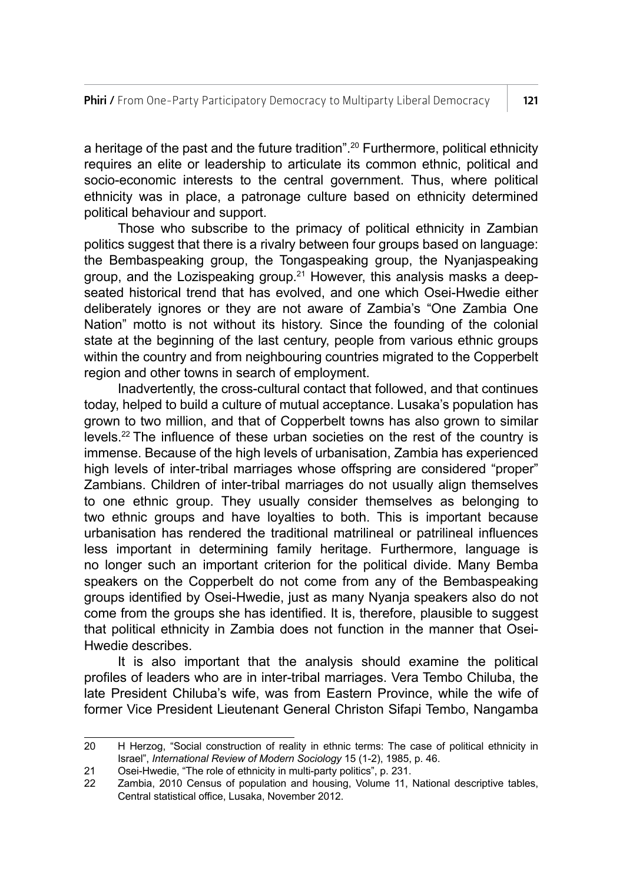a heritage of the past and the future tradition".<sup>20</sup> Furthermore, political ethnicity requires an elite or leadership to articulate its common ethnic, political and socio-economic interests to the central government. Thus, where political ethnicity was in place, a patronage culture based on ethnicity determined political behaviour and support.

Those who subscribe to the primacy of political ethnicity in Zambian politics suggest that there is a rivalry between four groups based on language: the Bembaspeaking group, the Tongaspeaking group, the Nyanjaspeaking group, and the Lozispeaking group.<sup>21</sup> However, this analysis masks a deepseated historical trend that has evolved, and one which Osei-Hwedie either deliberately ignores or they are not aware of Zambia's "One Zambia One Nation" motto is not without its history. Since the founding of the colonial state at the beginning of the last century, people from various ethnic groups within the country and from neighbouring countries migrated to the Copperbelt region and other towns in search of employment.

Inadvertently, the cross-cultural contact that followed, and that continues today, helped to build a culture of mutual acceptance. Lusaka's population has grown to two million, and that of Copperbelt towns has also grown to similar levels.22 The influence of these urban societies on the rest of the country is immense. Because of the high levels of urbanisation, Zambia has experienced high levels of inter-tribal marriages whose offspring are considered "proper" Zambians. Children of inter-tribal marriages do not usually align themselves to one ethnic group. They usually consider themselves as belonging to two ethnic groups and have loyalties to both. This is important because urbanisation has rendered the traditional matrilineal or patrilineal influences less important in determining family heritage. Furthermore, language is no longer such an important criterion for the political divide. Many Bemba speakers on the Copperbelt do not come from any of the Bembaspeaking groups identified by Osei-Hwedie, just as many Nyanja speakers also do not come from the groups she has identified. It is, therefore, plausible to suggest that political ethnicity in Zambia does not function in the manner that Osei-Hwedie describes.

It is also important that the analysis should examine the political profiles of leaders who are in inter-tribal marriages. Vera Tembo Chiluba, the late President Chiluba's wife, was from Eastern Province, while the wife of former Vice President Lieutenant General Christon Sifapi Tembo, Nangamba

<sup>20</sup> H Herzog, "Social construction of reality in ethnic terms: The case of political ethnicity in Israel", *International Review of Modern Sociology* 15 (1-2), 1985, p. 46.

<sup>21</sup> Osei-Hwedie, "The role of ethnicity in multi-party politics", p. 231.

<sup>22</sup> Zambia, 2010 Census of population and housing, Volume 11, National descriptive tables, Central statistical office, Lusaka, November 2012.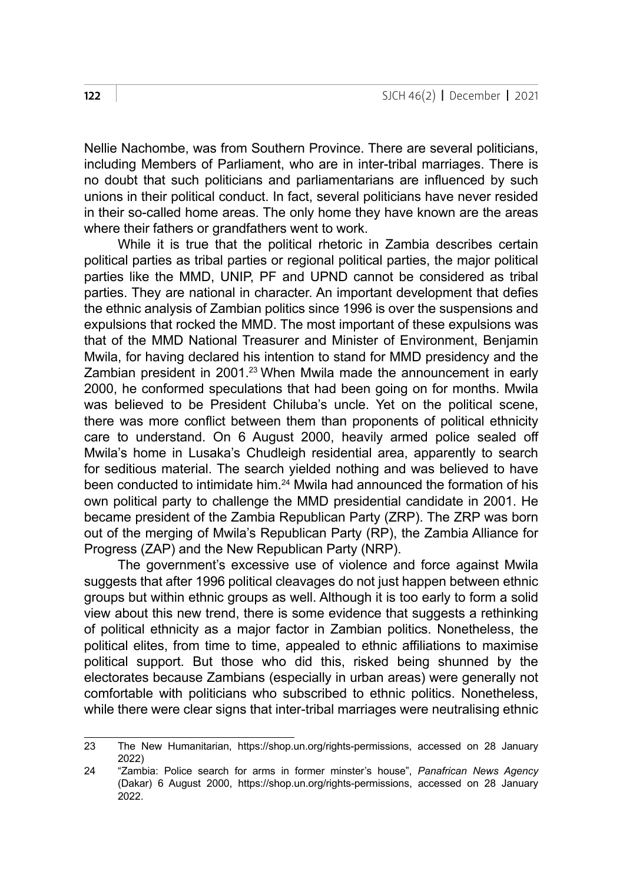Nellie Nachombe, was from Southern Province. There are several politicians, including Members of Parliament, who are in inter-tribal marriages. There is no doubt that such politicians and parliamentarians are influenced by such unions in their political conduct. In fact, several politicians have never resided in their so-called home areas. The only home they have known are the areas where their fathers or grandfathers went to work.

While it is true that the political rhetoric in Zambia describes certain political parties as tribal parties or regional political parties, the major political parties like the MMD, UNIP, PF and UPND cannot be considered as tribal parties. They are national in character. An important development that defies the ethnic analysis of Zambian politics since 1996 is over the suspensions and expulsions that rocked the MMD. The most important of these expulsions was that of the MMD National Treasurer and Minister of Environment, Benjamin Mwila, for having declared his intention to stand for MMD presidency and the Zambian president in 2001.<sup>23</sup> When Mwila made the announcement in early 2000, he conformed speculations that had been going on for months. Mwila was believed to be President Chiluba's uncle. Yet on the political scene, there was more conflict between them than proponents of political ethnicity care to understand. On 6 August 2000, heavily armed police sealed off Mwila's home in Lusaka's Chudleigh residential area, apparently to search for seditious material. The search yielded nothing and was believed to have been conducted to intimidate him.24 Mwila had announced the formation of his own political party to challenge the MMD presidential candidate in 2001. He became president of the Zambia Republican Party (ZRP). The ZRP was born out of the merging of Mwila's Republican Party (RP), the Zambia Alliance for Progress (ZAP) and the New Republican Party (NRP).

The government's excessive use of violence and force against Mwila suggests that after 1996 political cleavages do not just happen between ethnic groups but within ethnic groups as well. Although it is too early to form a solid view about this new trend, there is some evidence that suggests a rethinking of political ethnicity as a major factor in Zambian politics. Nonetheless, the political elites, from time to time, appealed to ethnic affiliations to maximise political support. But those who did this, risked being shunned by the electorates because Zambians (especially in urban areas) were generally not comfortable with politicians who subscribed to ethnic politics. Nonetheless, while there were clear signs that inter-tribal marriages were neutralising ethnic

<sup>23</sup> The New Humanitarian, [https://shop.un.org/rights-permissions,](https://shop.un.org/rights-permissions) accessed on 28 January 2022)

<sup>24</sup> "Zambia: Police search for arms in former minster's house", *Panafrican News Agency* (Dakar) 6 August 2000, [https://shop.un.org/rights-permissions,](https://shop.un.org/rights-permissions) accessed on 28 January  $2022$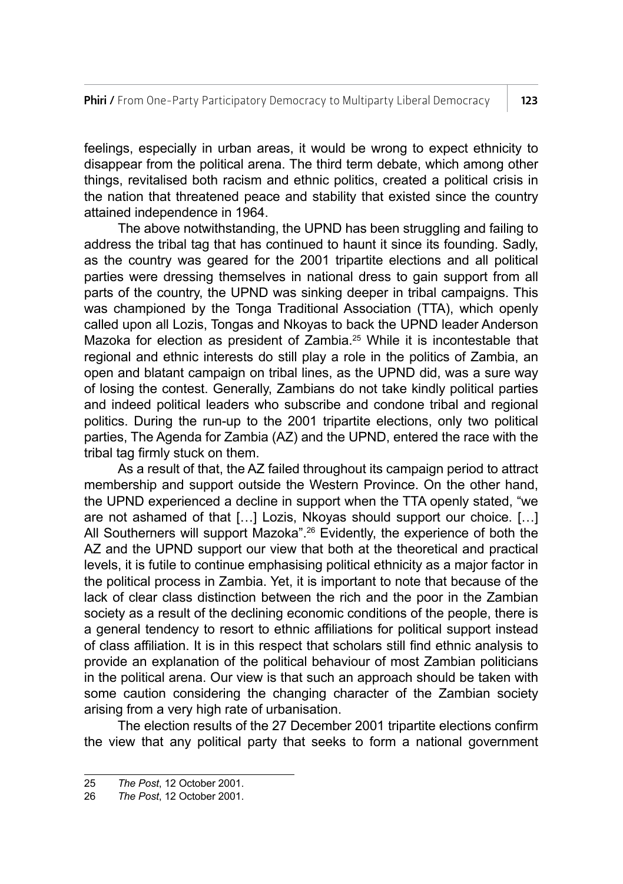feelings, especially in urban areas, it would be wrong to expect ethnicity to disappear from the political arena. The third term debate, which among other things, revitalised both racism and ethnic politics, created a political crisis in the nation that threatened peace and stability that existed since the country attained independence in 1964.

The above notwithstanding, the UPND has been struggling and failing to address the tribal tag that has continued to haunt it since its founding. Sadly, as the country was geared for the 2001 tripartite elections and all political parties were dressing themselves in national dress to gain support from all parts of the country, the UPND was sinking deeper in tribal campaigns. This was championed by the Tonga Traditional Association (TTA), which openly called upon all Lozis, Tongas and Nkoyas to back the UPND leader Anderson Mazoka for election as president of Zambia.25 While it is incontestable that regional and ethnic interests do still play a role in the politics of Zambia, an open and blatant campaign on tribal lines, as the UPND did, was a sure way of losing the contest. Generally, Zambians do not take kindly political parties and indeed political leaders who subscribe and condone tribal and regional politics. During the run-up to the 2001 tripartite elections, only two political parties, The Agenda for Zambia (AZ) and the UPND, entered the race with the tribal tag firmly stuck on them.

As a result of that, the AZ failed throughout its campaign period to attract membership and support outside the Western Province. On the other hand, the UPND experienced a decline in support when the TTA openly stated, "we are not ashamed of that […] Lozis, Nkoyas should support our choice. […] All Southerners will support Mazoka".<sup>26</sup> Evidently, the experience of both the AZ and the UPND support our view that both at the theoretical and practical levels, it is futile to continue emphasising political ethnicity as a major factor in the political process in Zambia. Yet, it is important to note that because of the lack of clear class distinction between the rich and the poor in the Zambian society as a result of the declining economic conditions of the people, there is a general tendency to resort to ethnic affiliations for political support instead of class affiliation. It is in this respect that scholars still find ethnic analysis to provide an explanation of the political behaviour of most Zambian politicians in the political arena. Our view is that such an approach should be taken with some caution considering the changing character of the Zambian society arising from a very high rate of urbanisation.

The election results of the 27 December 2001 tripartite elections confirm the view that any political party that seeks to form a national government

<sup>25</sup> *The Post*, 12 October 2001.

<sup>26</sup> *The Post*, 12 October 2001.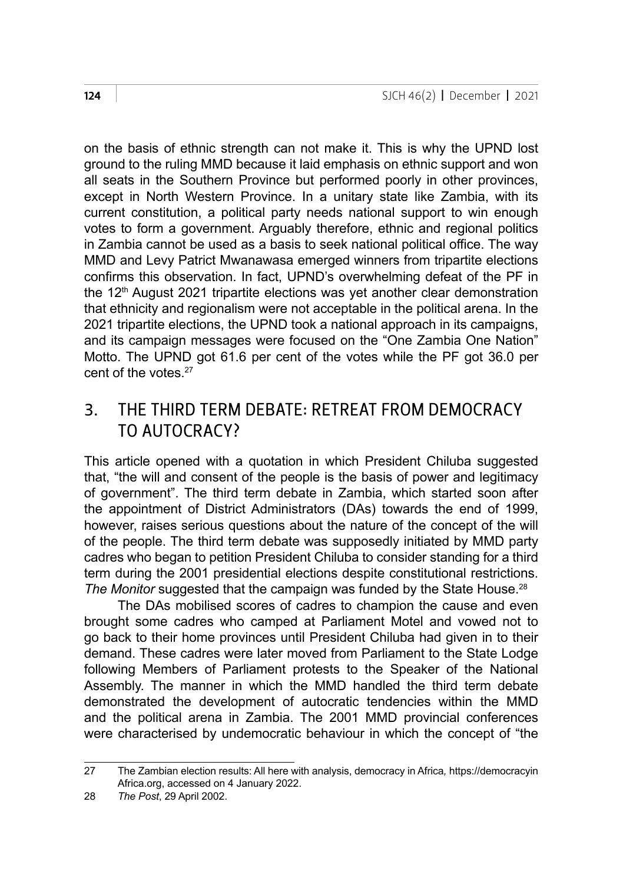on the basis of ethnic strength can not make it. This is why the UPND lost ground to the ruling MMD because it laid emphasis on ethnic support and won all seats in the Southern Province but performed poorly in other provinces, except in North Western Province. In a unitary state like Zambia, with its current constitution, a political party needs national support to win enough votes to form a government. Arguably therefore, ethnic and regional politics in Zambia cannot be used as a basis to seek national political office. The way MMD and Levy Patrict Mwanawasa emerged winners from tripartite elections confirms this observation. In fact, UPND's overwhelming defeat of the PF in the 12<sup>th</sup> August 2021 tripartite elections was yet another clear demonstration that ethnicity and regionalism were not acceptable in the political arena. In the 2021 tripartite elections, the UPND took a national approach in its campaigns, and its campaign messages were focused on the "One Zambia One Nation" Motto. The UPND got 61.6 per cent of the votes while the PF got 36.0 per cent of the votes.<sup>27</sup>

# 3. THE THIRD TERM DEBATE: RETREAT FROM DEMOCRACY TO AUTOCRACY?

This article opened with a quotation in which President Chiluba suggested that, "the will and consent of the people is the basis of power and legitimacy of government". The third term debate in Zambia, which started soon after the appointment of District Administrators (DAs) towards the end of 1999, however, raises serious questions about the nature of the concept of the will of the people. The third term debate was supposedly initiated by MMD party cadres who began to petition President Chiluba to consider standing for a third term during the 2001 presidential elections despite constitutional restrictions. *The Monitor* suggested that the campaign was funded by the State House.<sup>28</sup>

The DAs mobilised scores of cadres to champion the cause and even brought some cadres who camped at Parliament Motel and vowed not to go back to their home provinces until President Chiluba had given in to their demand. These cadres were later moved from Parliament to the State Lodge following Members of Parliament protests to the Speaker of the National Assembly. The manner in which the MMD handled the third term debate demonstrated the development of autocratic tendencies within the MMD and the political arena in Zambia. The 2001 MMD provincial conferences were characterised by undemocratic behaviour in which the concept of "the

<sup>27</sup> The Zambian election results: All here with analysis, democracy in Africa*,* <https://democracyin> Africa.org, accessed on 4 January 2022.

<sup>28</sup> *The Post*, 29 April 2002.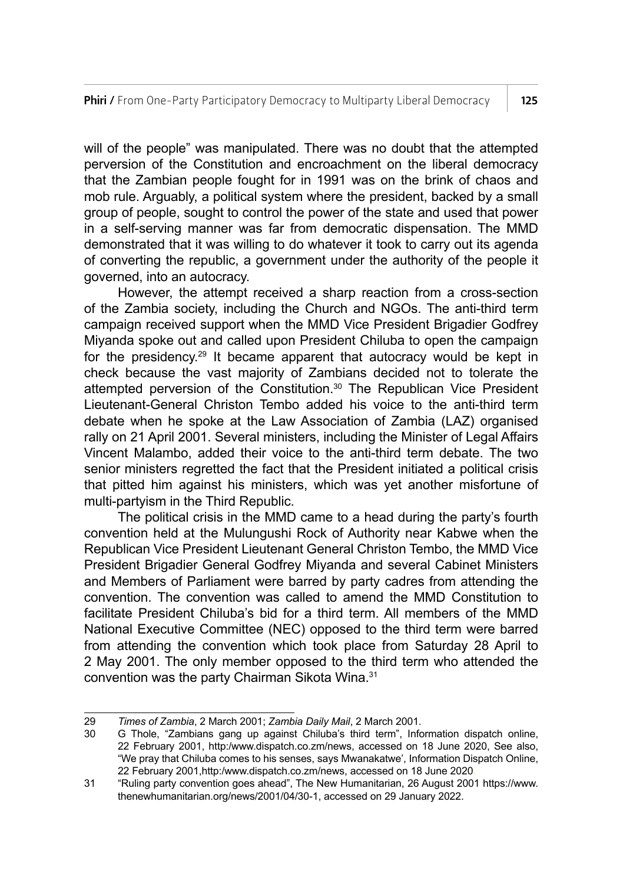will of the people" was manipulated. There was no doubt that the attempted perversion of the Constitution and encroachment on the liberal democracy that the Zambian people fought for in 1991 was on the brink of chaos and mob rule. Arguably, a political system where the president, backed by a small group of people, sought to control the power of the state and used that power in a self-serving manner was far from democratic dispensation. The MMD demonstrated that it was willing to do whatever it took to carry out its agenda of converting the republic, a government under the authority of the people it governed, into an autocracy.

However, the attempt received a sharp reaction from a cross-section of the Zambia society, including the Church and NGOs. The anti-third term campaign received support when the MMD Vice President Brigadier Godfrey Miyanda spoke out and called upon President Chiluba to open the campaign for the presidency.29 It became apparent that autocracy would be kept in check because the vast majority of Zambians decided not to tolerate the attempted perversion of the Constitution.<sup>30</sup> The Republican Vice President Lieutenant-General Christon Tembo added his voice to the anti-third term debate when he spoke at the Law Association of Zambia (LAZ) organised rally on 21 April 2001. Several ministers, including the Minister of Legal Affairs Vincent Malambo, added their voice to the anti-third term debate. The two senior ministers regretted the fact that the President initiated a political crisis that pitted him against his ministers, which was yet another misfortune of multi-partyism in the Third Republic.

The political crisis in the MMD came to a head during the party's fourth convention held at the Mulungushi Rock of Authority near Kabwe when the Republican Vice President Lieutenant General Christon Tembo, the MMD Vice President Brigadier General Godfrey Miyanda and several Cabinet Ministers and Members of Parliament were barred by party cadres from attending the convention. The convention was called to amend the MMD Constitution to facilitate President Chiluba's bid for a third term. All members of the MMD National Executive Committee (NEC) opposed to the third term were barred from attending the convention which took place from Saturday 28 April to 2 May 2001. The only member opposed to the third term who attended the convention was the party Chairman Sikota Wina.31

<sup>29</sup> *Times of Zambia*, 2 March 2001; *Zambia Daily Mail*, 2 March 2001.

G Thole, "Zambians gang up against Chiluba's third term", Information dispatch online 22 February 2001, http:/www.dispatch.co.zm/news, accessed on 18 June 2020, See also, "We pray that Chiluba comes to his senses, says Mwanakatwe', Information Dispatch Online, 22 February 2001,http:/www.dispatch.co.zm/news, accessed on 18 June 2020.

<sup>31</sup> "Ruling party convention goes ahead", The New Humanitarian, 26 August 2001 [https://www.](https://www.thenewhumanitarian.org/news/2001/04/30-1) [thenewhumanitarian.org/news/2001/04/30-1,](https://www.thenewhumanitarian.org/news/2001/04/30-1) accessed on 29 January 2022.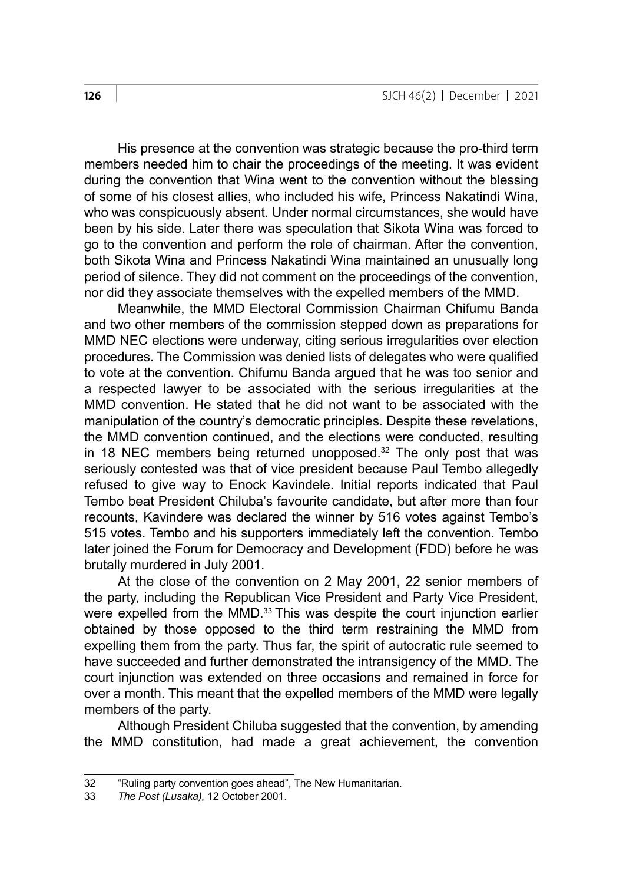His presence at the convention was strategic because the pro-third term members needed him to chair the proceedings of the meeting. It was evident during the convention that Wina went to the convention without the blessing of some of his closest allies, who included his wife, Princess Nakatindi Wina, who was conspicuously absent. Under normal circumstances, she would have been by his side. Later there was speculation that Sikota Wina was forced to go to the convention and perform the role of chairman. After the convention, both Sikota Wina and Princess Nakatindi Wina maintained an unusually long period of silence. They did not comment on the proceedings of the convention, nor did they associate themselves with the expelled members of the MMD.

Meanwhile, the MMD Electoral Commission Chairman Chifumu Banda and two other members of the commission stepped down as preparations for MMD NEC elections were underway, citing serious irregularities over election procedures. The Commission was denied lists of delegates who were qualified to vote at the convention. Chifumu Banda argued that he was too senior and a respected lawyer to be associated with the serious irregularities at the MMD convention. He stated that he did not want to be associated with the manipulation of the country's democratic principles. Despite these revelations, the MMD convention continued, and the elections were conducted, resulting in 18 NEC members being returned unopposed. $32$  The only post that was seriously contested was that of vice president because Paul Tembo allegedly refused to give way to Enock Kavindele. Initial reports indicated that Paul Tembo beat President Chiluba's favourite candidate, but after more than four recounts, Kavindere was declared the winner by 516 votes against Tembo's 515 votes. Tembo and his supporters immediately left the convention. Tembo later joined the Forum for Democracy and Development (FDD) before he was brutally murdered in July 2001.

At the close of the convention on 2 May 2001, 22 senior members of the party, including the Republican Vice President and Party Vice President, were expelled from the MMD.<sup>33</sup> This was despite the court injunction earlier obtained by those opposed to the third term restraining the MMD from expelling them from the party. Thus far, the spirit of autocratic rule seemed to have succeeded and further demonstrated the intransigency of the MMD. The court injunction was extended on three occasions and remained in force for over a month. This meant that the expelled members of the MMD were legally members of the party.

Although President Chiluba suggested that the convention, by amending the MMD constitution, had made a great achievement, the convention

<sup>32 &</sup>quot;Ruling party convention goes ahead", The New Humanitarian.<br>33 The Post (Lusaka) 12 October 2001

<sup>33</sup> *The Post (Lusaka),* 12 October 2001.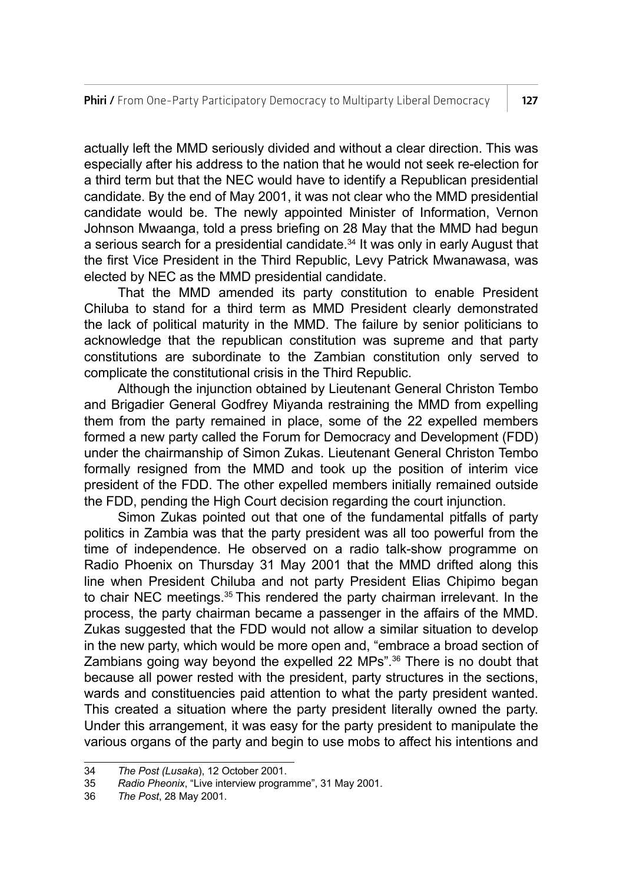actually left the MMD seriously divided and without a clear direction. This was especially after his address to the nation that he would not seek re-election for a third term but that the NEC would have to identify a Republican presidential candidate. By the end of May 2001, it was not clear who the MMD presidential candidate would be. The newly appointed Minister of Information, Vernon Johnson Mwaanga, told a press briefing on 28 May that the MMD had begun a serious search for a presidential candidate.34 It was only in early August that the first Vice President in the Third Republic, Levy Patrick Mwanawasa, was elected by NEC as the MMD presidential candidate.

That the MMD amended its party constitution to enable President Chiluba to stand for a third term as MMD President clearly demonstrated the lack of political maturity in the MMD. The failure by senior politicians to acknowledge that the republican constitution was supreme and that party constitutions are subordinate to the Zambian constitution only served to complicate the constitutional crisis in the Third Republic.

Although the injunction obtained by Lieutenant General Christon Tembo and Brigadier General Godfrey Miyanda restraining the MMD from expelling them from the party remained in place, some of the 22 expelled members formed a new party called the Forum for Democracy and Development (FDD) under the chairmanship of Simon Zukas. Lieutenant General Christon Tembo formally resigned from the MMD and took up the position of interim vice president of the FDD. The other expelled members initially remained outside the FDD, pending the High Court decision regarding the court injunction.

Simon Zukas pointed out that one of the fundamental pitfalls of party politics in Zambia was that the party president was all too powerful from the time of independence. He observed on a radio talk-show programme on Radio Phoenix on Thursday 31 May 2001 that the MMD drifted along this line when President Chiluba and not party President Elias Chipimo began to chair NEC meetings.35 This rendered the party chairman irrelevant. In the process, the party chairman became a passenger in the affairs of the MMD. Zukas suggested that the FDD would not allow a similar situation to develop in the new party, which would be more open and, "embrace a broad section of Zambians going way beyond the expelled 22 MPs".36 There is no doubt that because all power rested with the president, party structures in the sections, wards and constituencies paid attention to what the party president wanted. This created a situation where the party president literally owned the party. Under this arrangement, it was easy for the party president to manipulate the various organs of the party and begin to use mobs to affect his intentions and

<sup>34</sup> *The Post (Lusaka*), 12 October 2001.

<sup>35</sup> *Radio Pheonix*, "Live interview programme", 31 May 2001.

<sup>36</sup> *The Post*, 28 May 2001.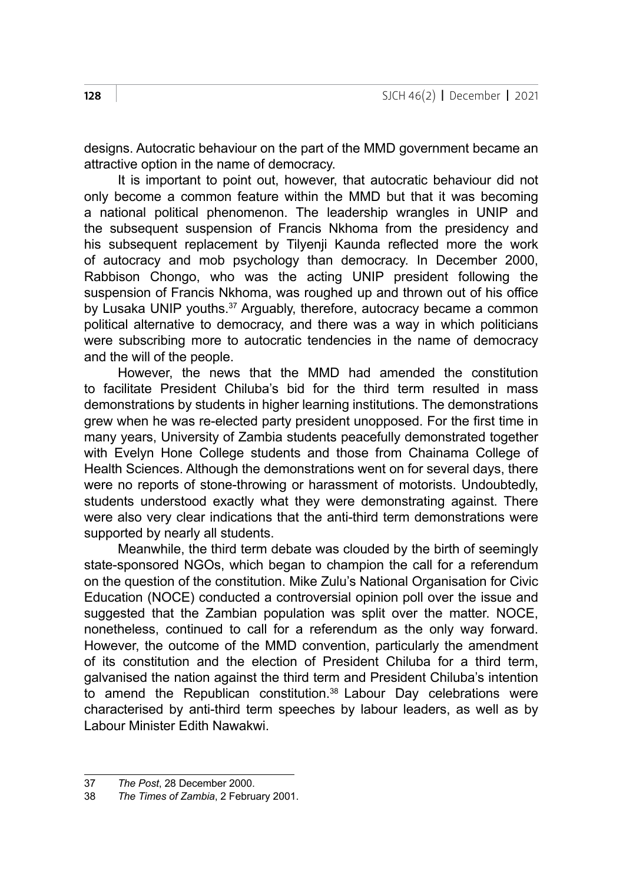designs. Autocratic behaviour on the part of the MMD government became an attractive option in the name of democracy.

It is important to point out, however, that autocratic behaviour did not only become a common feature within the MMD but that it was becoming a national political phenomenon. The leadership wrangles in UNIP and the subsequent suspension of Francis Nkhoma from the presidency and his subsequent replacement by Tilyenji Kaunda reflected more the work of autocracy and mob psychology than democracy. In December 2000, Rabbison Chongo, who was the acting UNIP president following the suspension of Francis Nkhoma, was roughed up and thrown out of his office by Lusaka UNIP youths.<sup>37</sup> Arguably, therefore, autocracy became a common political alternative to democracy, and there was a way in which politicians were subscribing more to autocratic tendencies in the name of democracy and the will of the people.

However, the news that the MMD had amended the constitution to facilitate President Chiluba's bid for the third term resulted in mass demonstrations by students in higher learning institutions. The demonstrations grew when he was re-elected party president unopposed. For the first time in many years, University of Zambia students peacefully demonstrated together with Evelyn Hone College students and those from Chainama College of Health Sciences. Although the demonstrations went on for several days, there were no reports of stone-throwing or harassment of motorists. Undoubtedly, students understood exactly what they were demonstrating against. There were also very clear indications that the anti-third term demonstrations were supported by nearly all students.

Meanwhile, the third term debate was clouded by the birth of seemingly state-sponsored NGOs, which began to champion the call for a referendum on the question of the constitution. Mike Zulu's National Organisation for Civic Education (NOCE) conducted a controversial opinion poll over the issue and suggested that the Zambian population was split over the matter. NOCE, nonetheless, continued to call for a referendum as the only way forward. However, the outcome of the MMD convention, particularly the amendment of its constitution and the election of President Chiluba for a third term, galvanised the nation against the third term and President Chiluba's intention to amend the Republican constitution.<sup>38</sup> Labour Day celebrations were characterised by anti-third term speeches by labour leaders, as well as by Labour Minister Edith Nawakwi.

<sup>37</sup> *The Post*, 28 December 2000.

<sup>38</sup> *The Times of Zambia*, 2 February 2001.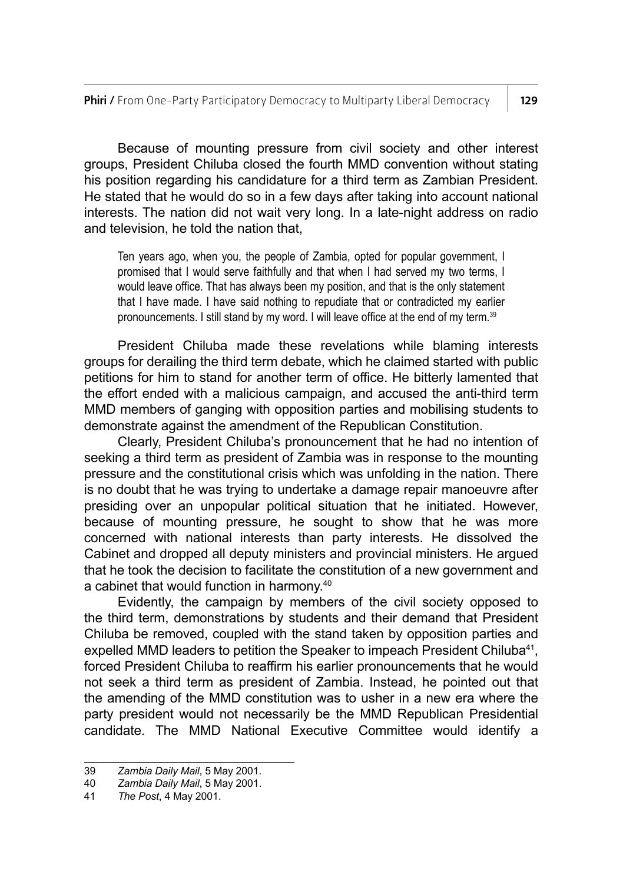Because of mounting pressure from civil society and other interest groups, President Chiluba closed the fourth MMD convention without stating his position regarding his candidature for a third term as Zambian President. He stated that he would do so in a few days after taking into account national interests. The nation did not wait very long. In a late-night address on radio and television, he told the nation that,

Ten years ago, when you, the people of Zambia, opted for popular government, I promised that I would serve faithfully and that when I had served my two terms, I would leave office. That has always been my position, and that is the only statement that I have made. I have said nothing to repudiate that or contradicted my earlier pronouncements. I still stand by my word. I will leave office at the end of my term.<sup>39</sup>

President Chiluba made these revelations while blaming interests groups for derailing the third term debate, which he claimed started with public petitions for him to stand for another term of office. He bitterly lamented that the effort ended with a malicious campaign, and accused the anti-third term MMD members of ganging with opposition parties and mobilising students to demonstrate against the amendment of the Republican Constitution.

Clearly, President Chiluba's pronouncement that he had no intention of seeking a third term as president of Zambia was in response to the mounting pressure and the constitutional crisis which was unfolding in the nation. There is no doubt that he was trying to undertake a damage repair manoeuvre after presiding over an unpopular political situation that he initiated. However, because of mounting pressure, he sought to show that he was more concerned with national interests than party interests. He dissolved the Cabinet and dropped all deputy ministers and provincial ministers. He argued that he took the decision to facilitate the constitution of a new government and a cabinet that would function in harmony.40

Evidently, the campaign by members of the civil society opposed to the third term, demonstrations by students and their demand that President Chiluba be removed, coupled with the stand taken by opposition parties and expelled MMD leaders to petition the Speaker to impeach President Chiluba<sup>41</sup>, forced President Chiluba to reaffirm his earlier pronouncements that he would not seek a third term as president of Zambia. Instead, he pointed out that the amending of the MMD constitution was to usher in a new era where the party president would not necessarily be the MMD Republican Presidential candidate. The MMD National Executive Committee would identify a

<sup>39</sup> *Zambia Daily Mail*, 5 May 2001.

<sup>40</sup> *Zambia Daily Mail*, 5 May 2001.

<sup>41</sup> *The Post*, 4 May 2001.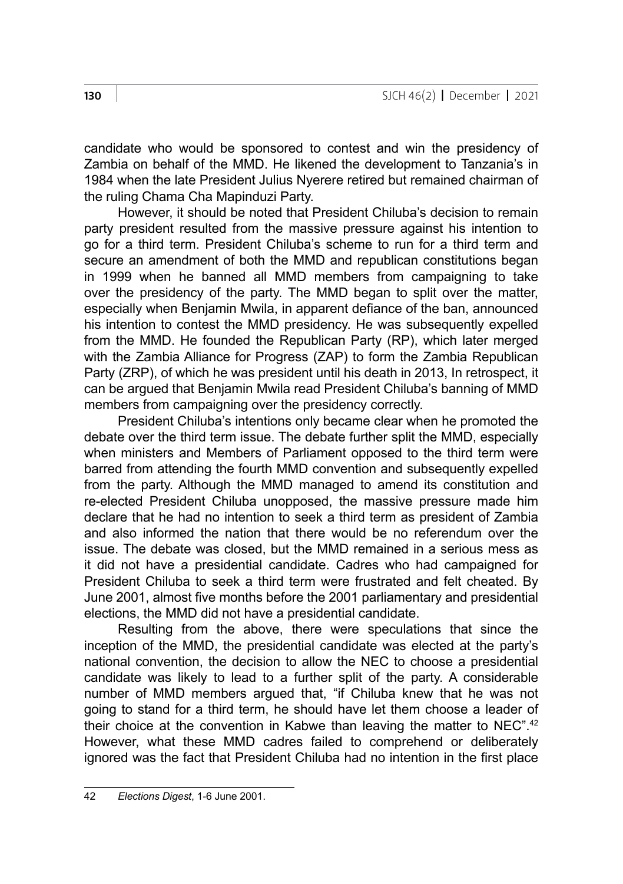candidate who would be sponsored to contest and win the presidency of Zambia on behalf of the MMD. He likened the development to Tanzania's in 1984 when the late President Julius Nyerere retired but remained chairman of the ruling Chama Cha Mapinduzi Party.

However, it should be noted that President Chiluba's decision to remain party president resulted from the massive pressure against his intention to go for a third term. President Chiluba's scheme to run for a third term and secure an amendment of both the MMD and republican constitutions began in 1999 when he banned all MMD members from campaigning to take over the presidency of the party. The MMD began to split over the matter, especially when Benjamin Mwila, in apparent defiance of the ban, announced his intention to contest the MMD presidency. He was subsequently expelled from the MMD. He founded the Republican Party (RP), which later merged with the Zambia Alliance for Progress (ZAP) to form the Zambia Republican Party (ZRP), of which he was president until his death in 2013, In retrospect, it can be argued that Benjamin Mwila read President Chiluba's banning of MMD members from campaigning over the presidency correctly.

President Chiluba's intentions only became clear when he promoted the debate over the third term issue. The debate further split the MMD, especially when ministers and Members of Parliament opposed to the third term were barred from attending the fourth MMD convention and subsequently expelled from the party. Although the MMD managed to amend its constitution and re-elected President Chiluba unopposed, the massive pressure made him declare that he had no intention to seek a third term as president of Zambia and also informed the nation that there would be no referendum over the issue. The debate was closed, but the MMD remained in a serious mess as it did not have a presidential candidate. Cadres who had campaigned for President Chiluba to seek a third term were frustrated and felt cheated. By June 2001, almost five months before the 2001 parliamentary and presidential elections, the MMD did not have a presidential candidate.

Resulting from the above, there were speculations that since the inception of the MMD, the presidential candidate was elected at the party's national convention, the decision to allow the NEC to choose a presidential candidate was likely to lead to a further split of the party. A considerable number of MMD members argued that, "if Chiluba knew that he was not going to stand for a third term, he should have let them choose a leader of their choice at the convention in Kabwe than leaving the matter to NEC".<sup>42</sup> However, what these MMD cadres failed to comprehend or deliberately ignored was the fact that President Chiluba had no intention in the first place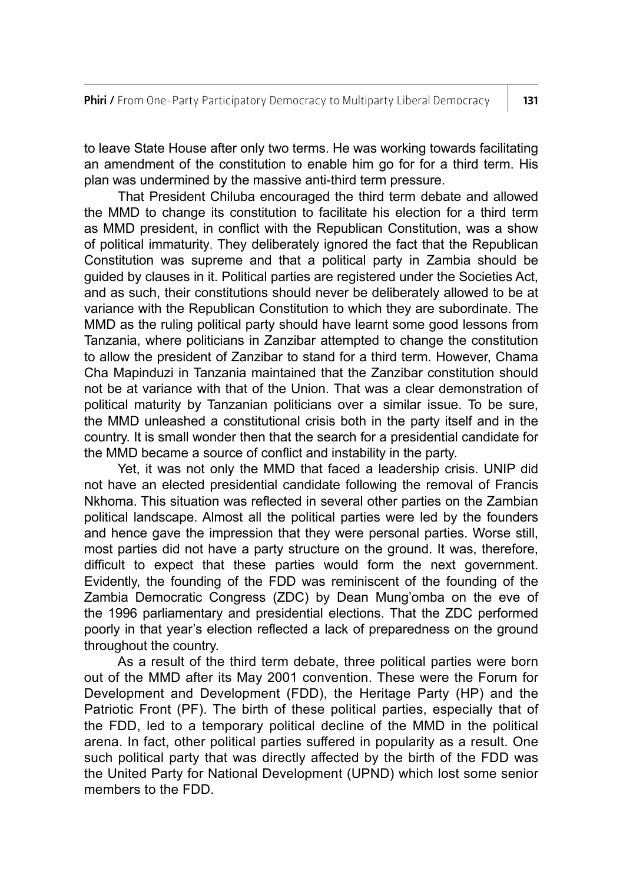to leave State House after only two terms. He was working towards facilitating an amendment of the constitution to enable him go for for a third term. His plan was undermined by the massive anti-third term pressure.

That President Chiluba encouraged the third term debate and allowed the MMD to change its constitution to facilitate his election for a third term as MMD president, in conflict with the Republican Constitution, was a show of political immaturity. They deliberately ignored the fact that the Republican Constitution was supreme and that a political party in Zambia should be guided by clauses in it. Political parties are registered under the Societies Act, and as such, their constitutions should never be deliberately allowed to be at variance with the Republican Constitution to which they are subordinate. The MMD as the ruling political party should have learnt some good lessons from Tanzania, where politicians in Zanzibar attempted to change the constitution to allow the president of Zanzibar to stand for a third term. However, Chama Cha Mapinduzi in Tanzania maintained that the Zanzibar constitution should not be at variance with that of the Union. That was a clear demonstration of political maturity by Tanzanian politicians over a similar issue. To be sure, the MMD unleashed a constitutional crisis both in the party itself and in the country. It is small wonder then that the search for a presidential candidate for the MMD became a source of conflict and instability in the party.

Yet, it was not only the MMD that faced a leadership crisis. UNIP did not have an elected presidential candidate following the removal of Francis Nkhoma. This situation was reflected in several other parties on the Zambian political landscape. Almost all the political parties were led by the founders and hence gave the impression that they were personal parties. Worse still, most parties did not have a party structure on the ground. It was, therefore, difficult to expect that these parties would form the next government. Evidently, the founding of the FDD was reminiscent of the founding of the Zambia Democratic Congress (ZDC) by Dean Mung'omba on the eve of the 1996 parliamentary and presidential elections. That the ZDC performed poorly in that year's election reflected a lack of preparedness on the ground throughout the country.

As a result of the third term debate, three political parties were born out of the MMD after its May 2001 convention. These were the Forum for Development and Development (FDD), the Heritage Party (HP) and the Patriotic Front (PF). The birth of these political parties, especially that of the FDD, led to a temporary political decline of the MMD in the political arena. In fact, other political parties suffered in popularity as a result. One such political party that was directly affected by the birth of the FDD was the United Party for National Development (UPND) which lost some senior members to the FDD.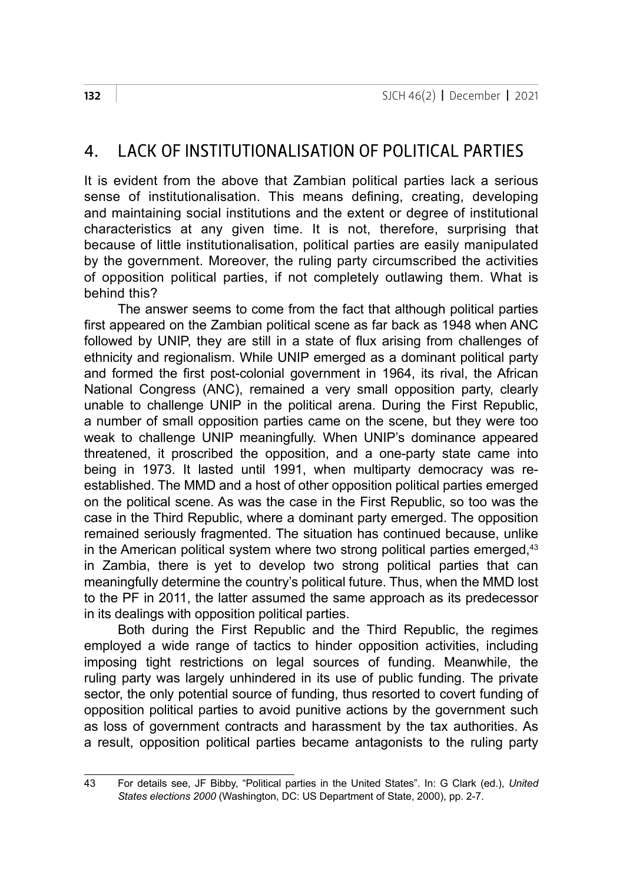### 4. LACK OF INSTITUTIONALISATION OF POLITICAL PARTIES

It is evident from the above that Zambian political parties lack a serious sense of institutionalisation. This means defining, creating, developing and maintaining social institutions and the extent or degree of institutional characteristics at any given time. It is not, therefore, surprising that because of little institutionalisation, political parties are easily manipulated by the government. Moreover, the ruling party circumscribed the activities of opposition political parties, if not completely outlawing them. What is behind this?

The answer seems to come from the fact that although political parties first appeared on the Zambian political scene as far back as 1948 when ANC followed by UNIP, they are still in a state of flux arising from challenges of ethnicity and regionalism. While UNIP emerged as a dominant political party and formed the first post-colonial government in 1964, its rival, the African National Congress (ANC), remained a very small opposition party, clearly unable to challenge UNIP in the political arena. During the First Republic, a number of small opposition parties came on the scene, but they were too weak to challenge UNIP meaningfully. When UNIP's dominance appeared threatened, it proscribed the opposition, and a one-party state came into being in 1973. It lasted until 1991, when multiparty democracy was reestablished. The MMD and a host of other opposition political parties emerged on the political scene. As was the case in the First Republic, so too was the case in the Third Republic, where a dominant party emerged. The opposition remained seriously fragmented. The situation has continued because, unlike in the American political system where two strong political parties emerged. $43$ in Zambia, there is yet to develop two strong political parties that can meaningfully determine the country's political future. Thus, when the MMD lost to the PF in 2011, the latter assumed the same approach as its predecessor in its dealings with opposition political parties.

Both during the First Republic and the Third Republic, the regimes employed a wide range of tactics to hinder opposition activities, including imposing tight restrictions on legal sources of funding. Meanwhile, the ruling party was largely unhindered in its use of public funding. The private sector, the only potential source of funding, thus resorted to covert funding of opposition political parties to avoid punitive actions by the government such as loss of government contracts and harassment by the tax authorities. As a result, opposition political parties became antagonists to the ruling party

<sup>43</sup> For details see, JF Bibby, "Political parties in the United States". In: G Clark (ed.), *United States elections 2000* (Washington, DC: US Department of State, 2000), pp. 2-7.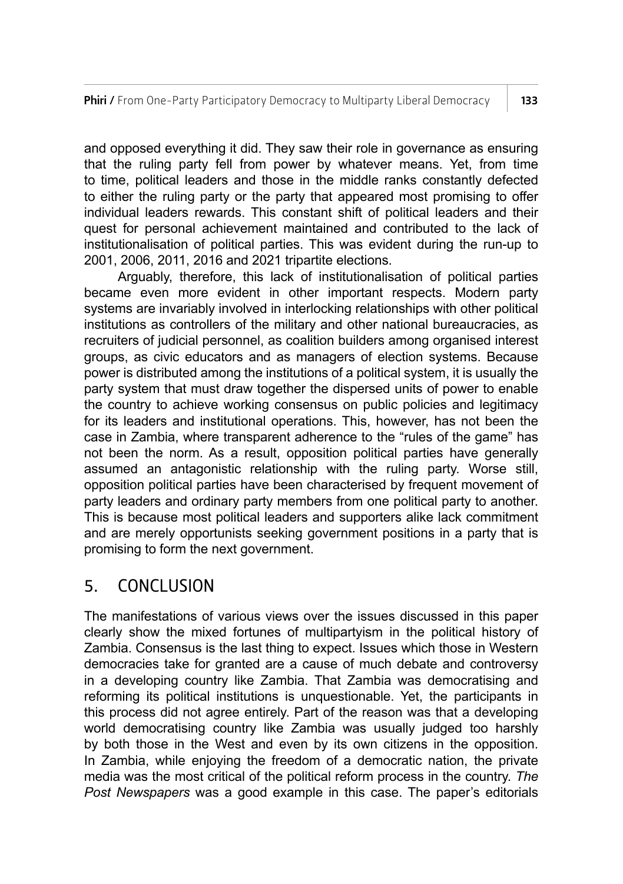and opposed everything it did. They saw their role in governance as ensuring that the ruling party fell from power by whatever means. Yet, from time to time, political leaders and those in the middle ranks constantly defected to either the ruling party or the party that appeared most promising to offer individual leaders rewards. This constant shift of political leaders and their quest for personal achievement maintained and contributed to the lack of institutionalisation of political parties. This was evident during the run-up to 2001, 2006, 2011, 2016 and 2021 tripartite elections.

Arguably, therefore, this lack of institutionalisation of political parties became even more evident in other important respects. Modern party systems are invariably involved in interlocking relationships with other political institutions as controllers of the military and other national bureaucracies, as recruiters of judicial personnel, as coalition builders among organised interest groups, as civic educators and as managers of election systems. Because power is distributed among the institutions of a political system, it is usually the party system that must draw together the dispersed units of power to enable the country to achieve working consensus on public policies and legitimacy for its leaders and institutional operations. This, however, has not been the case in Zambia, where transparent adherence to the "rules of the game" has not been the norm. As a result, opposition political parties have generally assumed an antagonistic relationship with the ruling party. Worse still, opposition political parties have been characterised by frequent movement of party leaders and ordinary party members from one political party to another. This is because most political leaders and supporters alike lack commitment and are merely opportunists seeking government positions in a party that is promising to form the next government.

### 5. CONCLUSION

The manifestations of various views over the issues discussed in this paper clearly show the mixed fortunes of multipartyism in the political history of Zambia. Consensus is the last thing to expect. Issues which those in Western democracies take for granted are a cause of much debate and controversy in a developing country like Zambia. That Zambia was democratising and reforming its political institutions is unquestionable. Yet, the participants in this process did not agree entirely. Part of the reason was that a developing world democratising country like Zambia was usually judged too harshly by both those in the West and even by its own citizens in the opposition. In Zambia, while enjoying the freedom of a democratic nation, the private media was the most critical of the political reform process in the country. *The Post Newspapers* was a good example in this case. The paper's editorials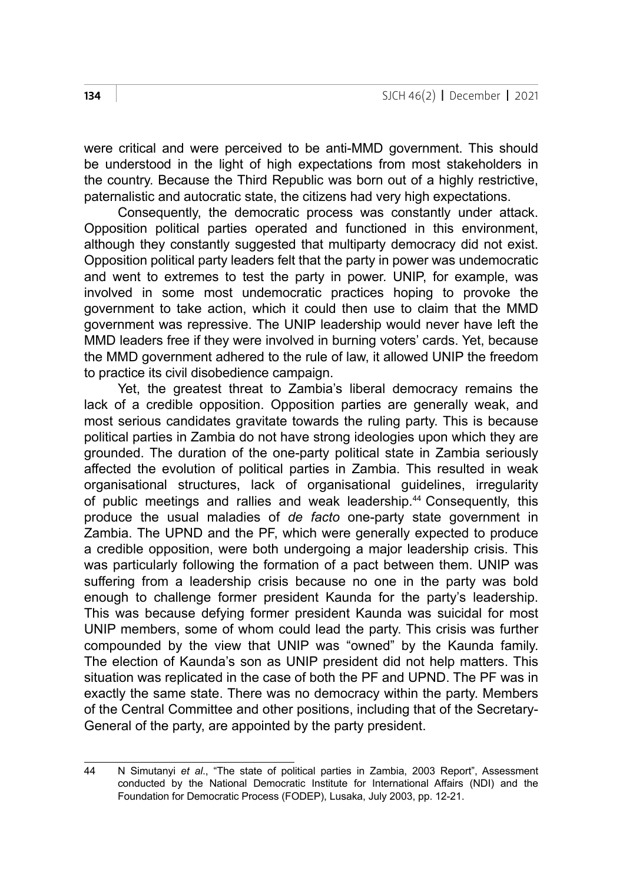were critical and were perceived to be anti-MMD government. This should be understood in the light of high expectations from most stakeholders in the country. Because the Third Republic was born out of a highly restrictive, paternalistic and autocratic state, the citizens had very high expectations.

Consequently, the democratic process was constantly under attack. Opposition political parties operated and functioned in this environment, although they constantly suggested that multiparty democracy did not exist. Opposition political party leaders felt that the party in power was undemocratic and went to extremes to test the party in power. UNIP, for example, was involved in some most undemocratic practices hoping to provoke the government to take action, which it could then use to claim that the MMD government was repressive. The UNIP leadership would never have left the MMD leaders free if they were involved in burning voters' cards. Yet, because the MMD government adhered to the rule of law, it allowed UNIP the freedom to practice its civil disobedience campaign.

Yet, the greatest threat to Zambia's liberal democracy remains the lack of a credible opposition. Opposition parties are generally weak, and most serious candidates gravitate towards the ruling party. This is because political parties in Zambia do not have strong ideologies upon which they are grounded. The duration of the one-party political state in Zambia seriously affected the evolution of political parties in Zambia. This resulted in weak organisational structures, lack of organisational guidelines, irregularity of public meetings and rallies and weak leadership.<sup>44</sup> Consequently, this produce the usual maladies of *de facto* one-party state government in Zambia. The UPND and the PF, which were generally expected to produce a credible opposition, were both undergoing a major leadership crisis. This was particularly following the formation of a pact between them. UNIP was suffering from a leadership crisis because no one in the party was bold enough to challenge former president Kaunda for the party's leadership. This was because defying former president Kaunda was suicidal for most UNIP members, some of whom could lead the party. This crisis was further compounded by the view that UNIP was "owned" by the Kaunda family. The election of Kaunda's son as UNIP president did not help matters. This situation was replicated in the case of both the PF and UPND. The PF was in exactly the same state. There was no democracy within the party. Members of the Central Committee and other positions, including that of the Secretary-General of the party, are appointed by the party president.

<sup>44</sup> N Simutanyi *et al*., "The state of political parties in Zambia, 2003 Report", Assessment conducted by the National Democratic Institute for International Affairs (NDI) and the Foundation for Democratic Process (FODEP), Lusaka, July 2003, pp. 12-21.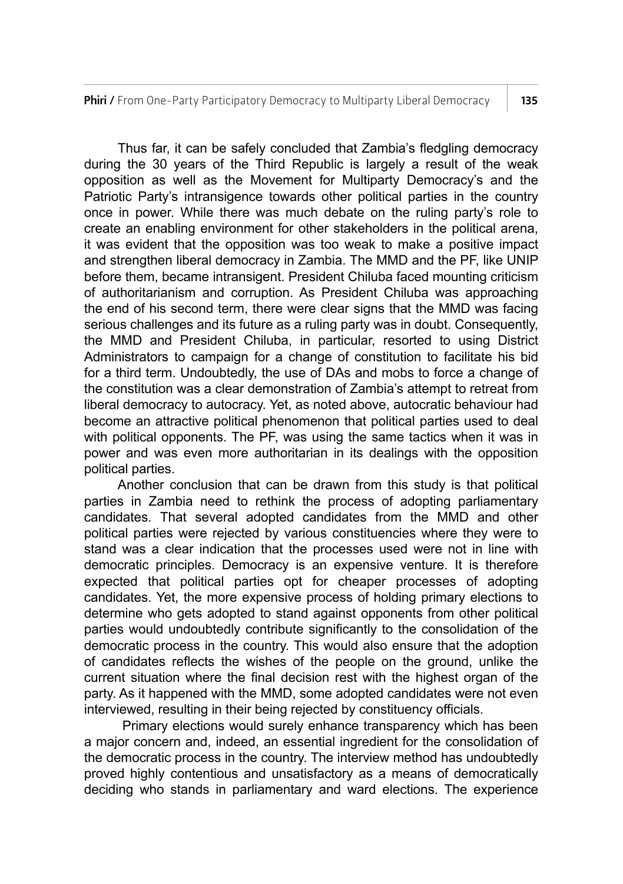**Phiri /** From One-Party Participatory Democracy to Multiparty Liberal Democracy 135

Thus far, it can be safely concluded that Zambia's fledgling democracy during the 30 years of the Third Republic is largely a result of the weak opposition as well as the Movement for Multiparty Democracy's and the Patriotic Party's intransigence towards other political parties in the country once in power. While there was much debate on the ruling party's role to create an enabling environment for other stakeholders in the political arena, it was evident that the opposition was too weak to make a positive impact and strengthen liberal democracy in Zambia. The MMD and the PF, like UNIP before them, became intransigent. President Chiluba faced mounting criticism of authoritarianism and corruption. As President Chiluba was approaching the end of his second term, there were clear signs that the MMD was facing serious challenges and its future as a ruling party was in doubt. Consequently, the MMD and President Chiluba, in particular, resorted to using District Administrators to campaign for a change of constitution to facilitate his bid for a third term. Undoubtedly, the use of DAs and mobs to force a change of the constitution was a clear demonstration of Zambia's attempt to retreat from liberal democracy to autocracy. Yet, as noted above, autocratic behaviour had become an attractive political phenomenon that political parties used to deal with political opponents. The PF, was using the same tactics when it was in power and was even more authoritarian in its dealings with the opposition political parties.

Another conclusion that can be drawn from this study is that political parties in Zambia need to rethink the process of adopting parliamentary candidates. That several adopted candidates from the MMD and other political parties were rejected by various constituencies where they were to stand was a clear indication that the processes used were not in line with democratic principles. Democracy is an expensive venture. It is therefore expected that political parties opt for cheaper processes of adopting candidates. Yet, the more expensive process of holding primary elections to determine who gets adopted to stand against opponents from other political parties would undoubtedly contribute significantly to the consolidation of the democratic process in the country. This would also ensure that the adoption of candidates reflects the wishes of the people on the ground, unlike the current situation where the final decision rest with the highest organ of the party. As it happened with the MMD, some adopted candidates were not even interviewed, resulting in their being rejected by constituency officials.

 Primary elections would surely enhance transparency which has been a major concern and, indeed, an essential ingredient for the consolidation of the democratic process in the country. The interview method has undoubtedly proved highly contentious and unsatisfactory as a means of democratically deciding who stands in parliamentary and ward elections. The experience